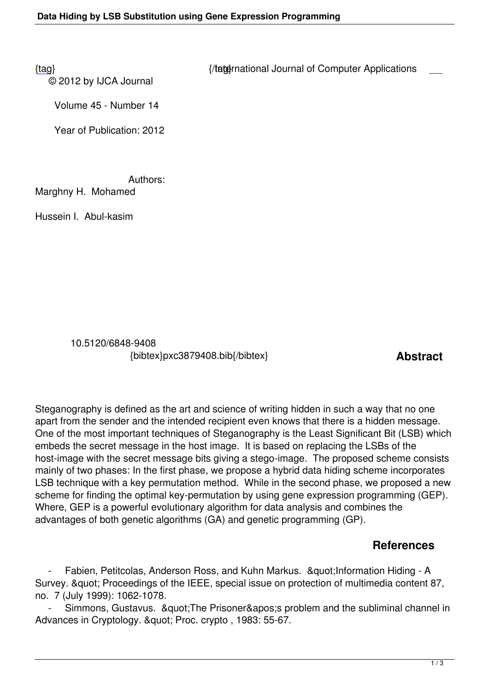© 2012 by IJCA Journal

{tag} International Journal of Computer Applications

Volume 45 - Number 14

Year of Publication: 2012

Authors:

Marghny H. Mohamed

Hussein I. Abul-kasim

 10.5120/6848-9408 {bibtex}pxc3879408.bib{/bibtex} **Abstract** 

Steganography is defined as the art and science of writing hidden in such a way that no one apart from the sender and the intended recipient even knows that there is a hidden message. One of the most important techniques of Steganography is the Least Significant Bit (LSB) which embeds the secret message in the host image. It is based on replacing the LSBs of the host-image with the secret message bits giving a stego-image. The proposed scheme consists mainly of two phases: In the first phase, we propose a hybrid data hiding scheme incorporates LSB technique with a key permutation method. While in the second phase, we proposed a new scheme for finding the optimal key-permutation by using gene expression programming (GEP). Where, GEP is a powerful evolutionary algorithm for data analysis and combines the advantages of both genetic algorithms (GA) and genetic programming (GP).

## **References**

Fabien, Petitcolas, Anderson Ross, and Kuhn Markus. & aupt; Information Hiding - A Survey. & quot; Proceedings of the IEEE, special issue on protection of multimedia content 87, no. 7 (July 1999): 1062-1078.

Simmons, Gustavus. & Quot; The Prisoner & apos; s problem and the subliminal channel in Advances in Cryptology. " Proc. crypto, 1983: 55-67.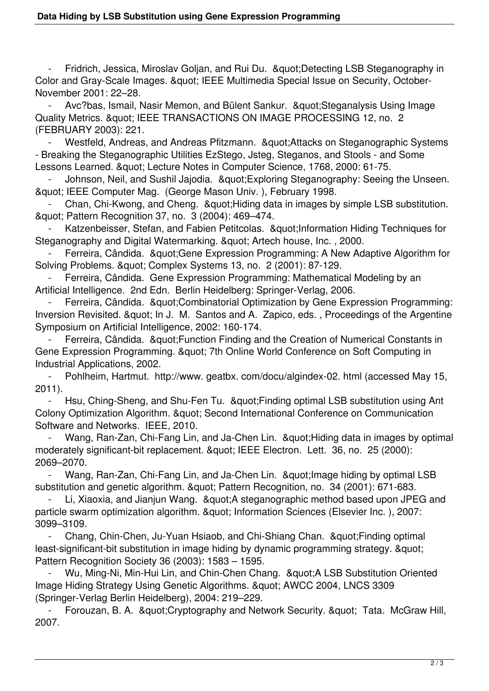Fridrich, Jessica, Miroslav Goljan, and Rui Du. & auot: Detecting LSB Steganography in Color and Gray-Scale Images. & quot; IEEE Multimedia Special Issue on Security, October-November 2001: 22–28.

Avc?bas, Ismail, Nasir Memon, and Bülent Sankur. & auot: Steganalysis Using Image Quality Metrics. " IEEE TRANSACTIONS ON IMAGE PROCESSING 12, no. 2 (FEBRUARY 2003): 221.

Westfeld, Andreas, and Andreas Pfitzmann. "Attacks on Steganographic Systems - Breaking the Steganographic Utilities EzStego, Jsteg, Steganos, and Stools - and Some Lessons Learned. & auot: Lecture Notes in Computer Science, 1768, 2000: 61-75.

Johnson, Neil, and Sushil Jajodia. &quot: Exploring Steganography: Seeing the Unseen. & quot; IEEE Computer Mag. (George Mason Univ.), February 1998.

Chan, Chi-Kwong, and Cheng. & auot: Hiding data in images by simple LSB substitution. & au ot: Pattern Recognition 37, no. 3 (2004): 469-474.

Katzenbeisser, Stefan, and Fabien Petitcolas. & quot; Information Hiding Techniques for Steganography and Digital Watermarking. & auot; Artech house, Inc., 2000.

Ferreira, Cândida. & au t: Gene Expression Programming: A New Adaptive Algorithm for Solving Problems. & quot; Complex Systems 13, no. 2 (2001): 87-129.

 - Ferreira, Cândida. Gene Expression Programming: Mathematical Modeling by an Artificial Intelligence. 2nd Edn. Berlin Heidelberg: Springer-Verlag, 2006.

Ferreira, Cândida. & quot: Combinatorial Optimization by Gene Expression Programming: Inversion Revisited. & quot; In J. M. Santos and A. Zapico, eds., Proceedings of the Argentine Symposium on Artificial Intelligence, 2002: 160-174.

Ferreira, Cândida. & quot: Function Finding and the Creation of Numerical Constants in Gene Expression Programming. & quot; 7th Online World Conference on Soft Computing in Industrial Applications, 2002.

 - Pohlheim, Hartmut. http://www. geatbx. com/docu/algindex-02. html (accessed May 15, 2011).

Hsu, Ching-Sheng, and Shu-Fen Tu. & au t; Finding optimal LSB substitution using Ant Colony Optimization Algorithm. & quot; Second International Conference on Communication Software and Networks. IEEE, 2010.

Wang, Ran-Zan, Chi-Fang Lin, and Ja-Chen Lin. & auot: Hiding data in images by optimal moderately significant-bit replacement. " IEEE Electron. Lett. 36, no. 25 (2000): 2069–2070.

Wang, Ran-Zan, Chi-Fang Lin, and Ja-Chen Lin. & quot; Image hiding by optimal LSB substitution and genetic algorithm. & quot; Pattern Recognition, no. 34 (2001): 671-683.

Li, Xiaoxia, and Jianjun Wang. & auot: A steganographic method based upon JPEG and particle swarm optimization algorithm. " Information Sciences (Elsevier Inc.), 2007: 3099–3109.

 - Chang, Chin-Chen, Ju-Yuan Hsiaob, and Chi-Shiang Chan. "Finding optimal least-significant-bit substitution in image hiding by dynamic programming strategy. & quot; Pattern Recognition Society 36 (2003): 1583 – 1595.

Wu, Ming-Ni, Min-Hui Lin, and Chin-Chen Chang. & & Aubstitution Oriented Image Hiding Strategy Using Genetic Algorithms. & quot; AWCC 2004, LNCS 3309 (Springer-Verlag Berlin Heidelberg), 2004: 219–229.

Forouzan, B. A. & quot: Cryptography and Network Security. & quot; Tata. McGraw Hill, 2007.